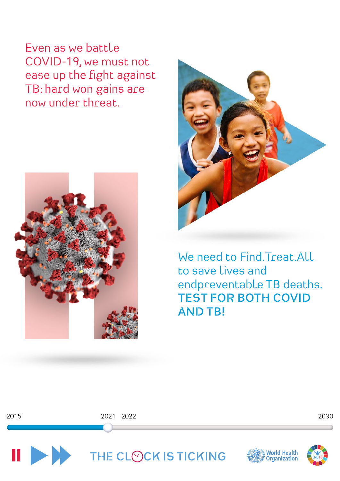Even as we battle COVID-19, we must not ease up the fight against TB: hard won gains are now under threat.





We need to Find.Treat.All to save lives and endpreventable TB deaths. **TEST FOR BOTH COVID AND TB!**

2015

2021 2022





THE CLOCK IS TICKING

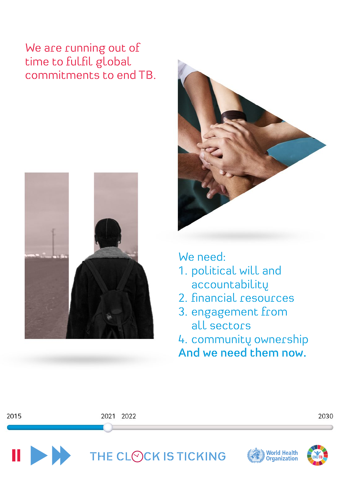## We are running out of time to fulfil global commitments to end TB.





We need:

- 1. political will and accountability
- 2. financial resources
- 3. engagement from all sectors

4. community ownership **And we need them now.**

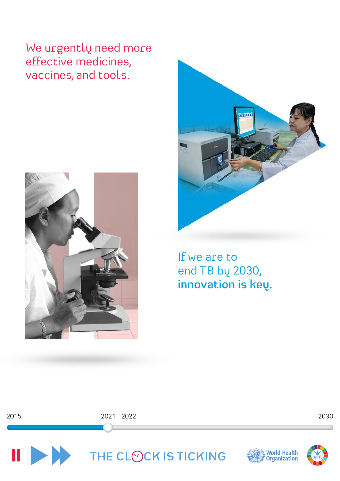We urgently need more effective medicines, vaccines, and tools.



2015



If we are to end TB by 2030, **innovation is key.**



2021 2022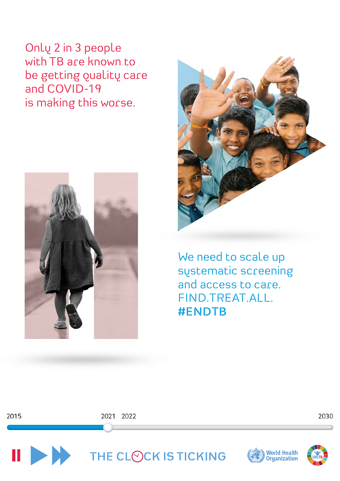Only 2 in 3 people with TB are known to be getting quality care and COVID-19 is making this worse.



2015



We need to scale up systematic screening and access to care. FIND.TREAT.ALL. **#ENDTB** 



2021 2022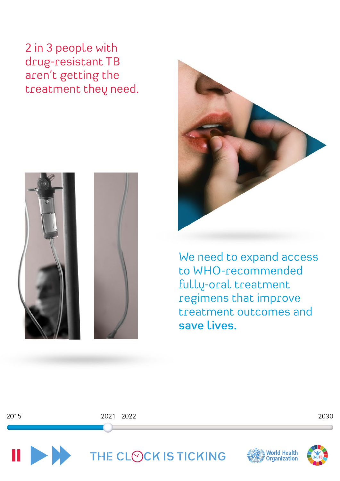2 in 3 people with drug-resistant TB aren't getting the treatment they need.



2015



We need to expand access to WHO-recommended fully-oral treatment regimens that improve treatment outcomes and **save lives.**

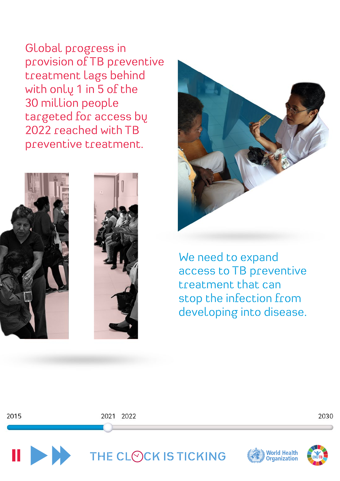Global progress in provision of TB preventive treatment lags behind with only 1 in 5 of the 30 million people targeted for access by 2022 reached with TB preventive treatment.



2015





We need to expand access to TB preventive treatment that can stop the infection from developing into disease.

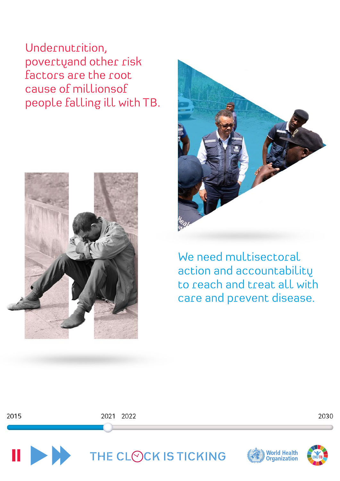Undernutrition, povertyand other risk factors are the root cause of millionsof people falling ill with TB.





We need multisectoral action and accountability to reach and treat all with care and prevent disease.

2015

2021 2022



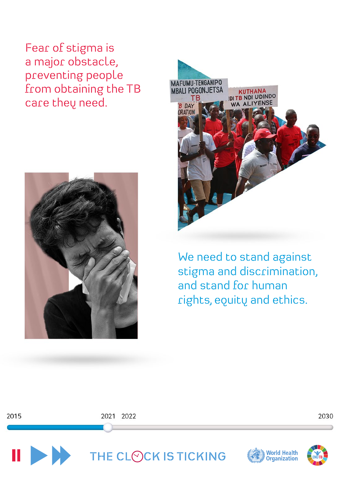Fear of stigma is a major obstacle, preventing people from obtaining the TB care they need.



2015



We need to stand against stigma and discrimination, and stand for human rights, equity and ethics.